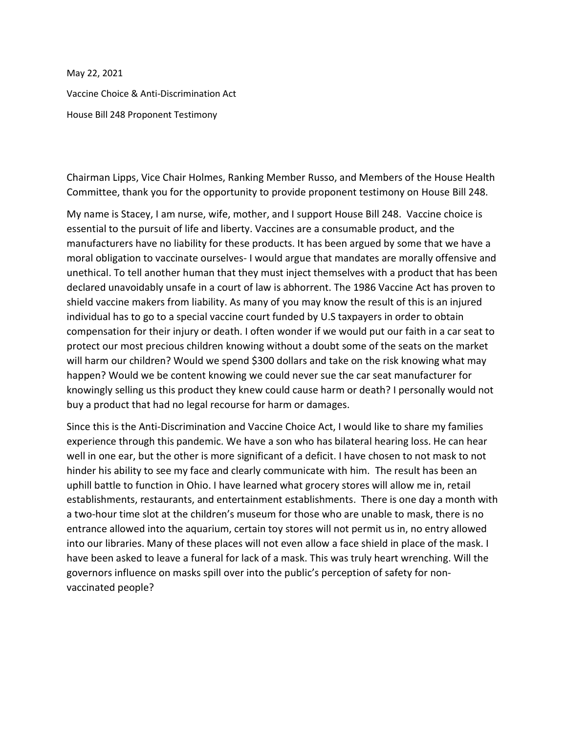May 22, 2021

Vaccine Choice & Anti-Discrimination Act

House Bill 248 Proponent Testimony

Chairman Lipps, Vice Chair Holmes, Ranking Member Russo, and Members of the House Health Committee, thank you for the opportunity to provide proponent testimony on House Bill 248.

My name is Stacey, I am nurse, wife, mother, and I support House Bill 248. Vaccine choice is essential to the pursuit of life and liberty. Vaccines are a consumable product, and the manufacturers have no liability for these products. It has been argued by some that we have a moral obligation to vaccinate ourselves- I would argue that mandates are morally offensive and unethical. To tell another human that they must inject themselves with a product that has been declared unavoidably unsafe in a court of law is abhorrent. The 1986 Vaccine Act has proven to shield vaccine makers from liability. As many of you may know the result of this is an injured individual has to go to a special vaccine court funded by U.S taxpayers in order to obtain compensation for their injury or death. I often wonder if we would put our faith in a car seat to protect our most precious children knowing without a doubt some of the seats on the market will harm our children? Would we spend \$300 dollars and take on the risk knowing what may happen? Would we be content knowing we could never sue the car seat manufacturer for knowingly selling us this product they knew could cause harm or death? I personally would not buy a product that had no legal recourse for harm or damages.

Since this is the Anti-Discrimination and Vaccine Choice Act, I would like to share my families experience through this pandemic. We have a son who has bilateral hearing loss. He can hear well in one ear, but the other is more significant of a deficit. I have chosen to not mask to not hinder his ability to see my face and clearly communicate with him. The result has been an uphill battle to function in Ohio. I have learned what grocery stores will allow me in, retail establishments, restaurants, and entertainment establishments. There is one day a month with a two-hour time slot at the children's museum for those who are unable to mask, there is no entrance allowed into the aquarium, certain toy stores will not permit us in, no entry allowed into our libraries. Many of these places will not even allow a face shield in place of the mask. I have been asked to leave a funeral for lack of a mask. This was truly heart wrenching. Will the governors influence on masks spill over into the public's perception of safety for nonvaccinated people?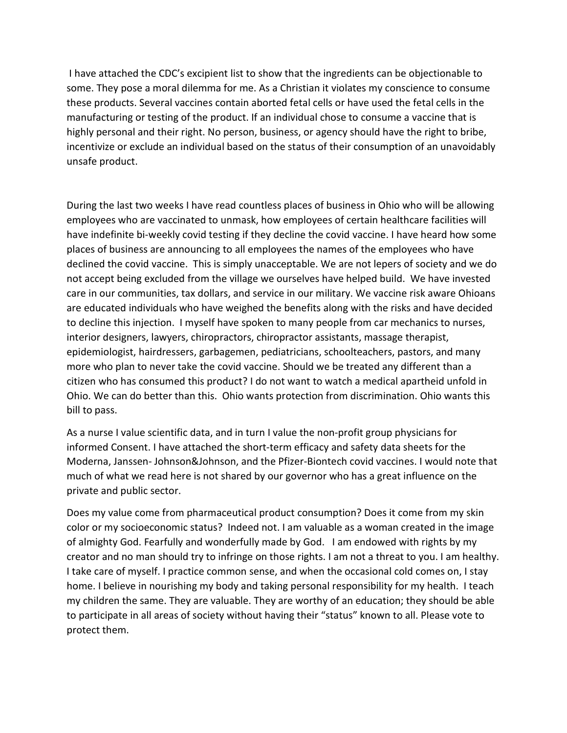I have attached the CDC's excipient list to show that the ingredients can be objectionable to some. They pose a moral dilemma for me. As a Christian it violates my conscience to consume these products. Several vaccines contain aborted fetal cells or have used the fetal cells in the manufacturing or testing of the product. If an individual chose to consume a vaccine that is highly personal and their right. No person, business, or agency should have the right to bribe, incentivize or exclude an individual based on the status of their consumption of an unavoidably unsafe product.

During the last two weeks I have read countless places of business in Ohio who will be allowing employees who are vaccinated to unmask, how employees of certain healthcare facilities will have indefinite bi-weekly covid testing if they decline the covid vaccine. I have heard how some places of business are announcing to all employees the names of the employees who have declined the covid vaccine. This is simply unacceptable. We are not lepers of society and we do not accept being excluded from the village we ourselves have helped build. We have invested care in our communities, tax dollars, and service in our military. We vaccine risk aware Ohioans are educated individuals who have weighed the benefits along with the risks and have decided to decline this injection. I myself have spoken to many people from car mechanics to nurses, interior designers, lawyers, chiropractors, chiropractor assistants, massage therapist, epidemiologist, hairdressers, garbagemen, pediatricians, schoolteachers, pastors, and many more who plan to never take the covid vaccine. Should we be treated any different than a citizen who has consumed this product? I do not want to watch a medical apartheid unfold in Ohio. We can do better than this. Ohio wants protection from discrimination. Ohio wants this bill to pass.

As a nurse I value scientific data, and in turn I value the non-profit group physicians for informed Consent. I have attached the short-term efficacy and safety data sheets for the Moderna, Janssen- Johnson&Johnson, and the Pfizer-Biontech covid vaccines. I would note that much of what we read here is not shared by our governor who has a great influence on the private and public sector.

Does my value come from pharmaceutical product consumption? Does it come from my skin color or my socioeconomic status? Indeed not. I am valuable as a woman created in the image of almighty God. Fearfully and wonderfully made by God. I am endowed with rights by my creator and no man should try to infringe on those rights. I am not a threat to you. I am healthy. I take care of myself. I practice common sense, and when the occasional cold comes on, I stay home. I believe in nourishing my body and taking personal responsibility for my health. I teach my children the same. They are valuable. They are worthy of an education; they should be able to participate in all areas of society without having their "status" known to all. Please vote to protect them.